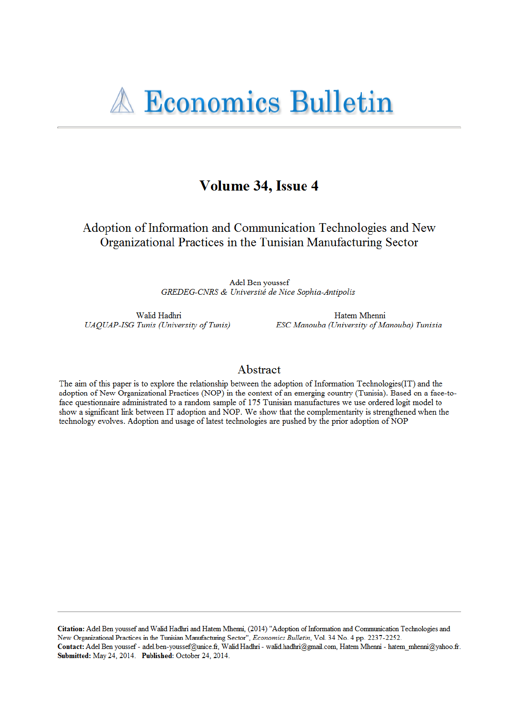# Volume 34, Issue 4

Adoption of Information and Communication Technologies and New Organizational Practices in the Tunisian Manufacturing Sector

> Adel Ben youssef GREDEG-CNRS & Université de Nice Sophia-Antipolis

Walid Hadhri **UAQUAP-ISG Tunis (University of Tunis)** 

Hatem Mhenni ESC Manouba (University of Manouba) Tunisia

### Abstract

The aim of this paper is to explore the relationship between the adoption of Information Technologies(IT) and the adoption of New Organizational Practices (NOP) in the context of an emerging country (Tunisia). Based on a face-toface questionnaire administrated to a random sample of 175 Tunisian manufactures we use ordered logit model to show a significant link between IT adoption and NOP. We show that the complementarity is strengthened when the technology evolves. Adoption and usage of latest technologies are pushed by the prior adoption of NOP

Citation: Adel Ben youssef and Walid Hadhri and Hatem Mhenni, (2014) "Adoption of Information and Communication Technologies and New Organizational Practices in the Tunisian Manufacturing Sector", Economics Bulletin, Vol. 34 No. 4 pp. 2237-2252. Contact: Adel Ben youssef - adel.ben-youssef@unice.fr, Walid Hadhri - walid.hadhri@gmail.com, Hatem Mhenni - hatem\_mhenni@yahoo.fr. Submitted: May 24, 2014. Published: October 24, 2014.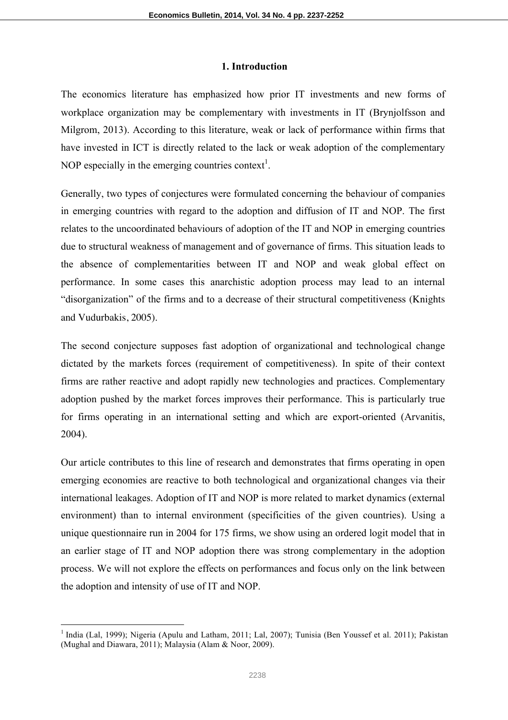### **1. Introduction**

The economics literature has emphasized how prior IT investments and new forms of workplace organization may be complementary with investments in IT (Brynjolfsson and Milgrom, 2013). According to this literature, weak or lack of performance within firms that have invested in ICT is directly related to the lack or weak adoption of the complementary NOP especially in the emerging countries context<sup>1</sup>.

Generally, two types of conjectures were formulated concerning the behaviour of companies in emerging countries with regard to the adoption and diffusion of IT and NOP. The first relates to the uncoordinated behaviours of adoption of the IT and NOP in emerging countries due to structural weakness of management and of governance of firms. This situation leads to the absence of complementarities between IT and NOP and weak global effect on performance. In some cases this anarchistic adoption process may lead to an internal "disorganization" of the firms and to a decrease of their structural competitiveness (Knights and Vudurbakis, 2005).

The second conjecture supposes fast adoption of organizational and technological change dictated by the markets forces (requirement of competitiveness). In spite of their context firms are rather reactive and adopt rapidly new technologies and practices. Complementary adoption pushed by the market forces improves their performance. This is particularly true for firms operating in an international setting and which are export-oriented (Arvanitis, 2004).

Our article contributes to this line of research and demonstrates that firms operating in open emerging economies are reactive to both technological and organizational changes via their international leakages. Adoption of IT and NOP is more related to market dynamics (external environment) than to internal environment (specificities of the given countries). Using a unique questionnaire run in 2004 for 175 firms, we show using an ordered logit model that in an earlier stage of IT and NOP adoption there was strong complementary in the adoption process. We will not explore the effects on performances and focus only on the link between the adoption and intensity of use of IT and NOP.

<sup>&</sup>lt;sup>1</sup> India (Lal, 1999); Nigeria (Apulu and Latham, 2011; Lal, 2007); Tunisia (Ben Youssef et al. 2011); Pakistan (Mughal and Diawara, 2011); Malaysia (Alam & Noor, 2009).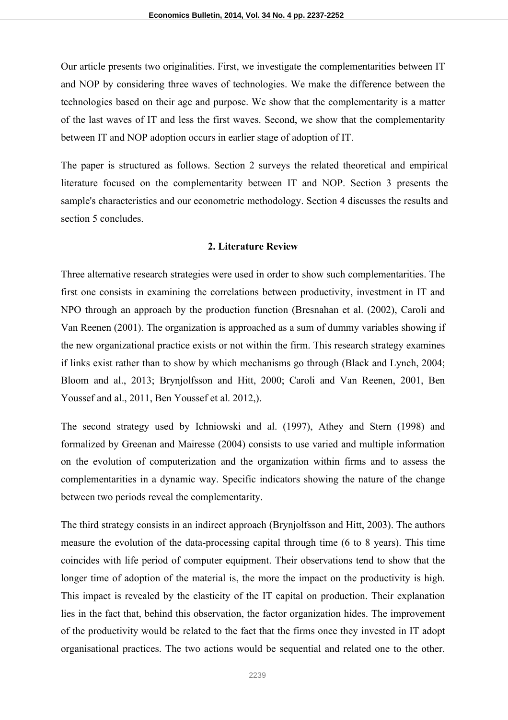Our article presents two originalities. First, we investigate the complementarities between IT and NOP by considering three waves of technologies. We make the difference between the technologies based on their age and purpose. We show that the complementarity is a matter of the last waves of IT and less the first waves. Second, we show that the complementarity between IT and NOP adoption occurs in earlier stage of adoption of IT.

The paper is structured as follows. Section 2 surveys the related theoretical and empirical literature focused on the complementarity between IT and NOP. Section 3 presents the sample's characteristics and our econometric methodology. Section 4 discusses the results and section 5 concludes.

### **2. Literature Review**

Three alternative research strategies were used in order to show such complementarities. The first one consists in examining the correlations between productivity, investment in IT and NPO through an approach by the production function (Bresnahan et al. (2002), Caroli and Van Reenen (2001). The organization is approached as a sum of dummy variables showing if the new organizational practice exists or not within the firm. This research strategy examines if links exist rather than to show by which mechanisms go through (Black and Lynch, 2004; Bloom and al., 2013; Brynjolfsson and Hitt, 2000; Caroli and Van Reenen, 2001, Ben Youssef and al., 2011, Ben Youssef et al. 2012,).

The second strategy used by Ichniowski and al. (1997), Athey and Stern (1998) and formalized by Greenan and Mairesse (2004) consists to use varied and multiple information on the evolution of computerization and the organization within firms and to assess the complementarities in a dynamic way. Specific indicators showing the nature of the change between two periods reveal the complementarity.

The third strategy consists in an indirect approach (Brynjolfsson and Hitt, 2003). The authors measure the evolution of the data-processing capital through time (6 to 8 years). This time coincides with life period of computer equipment. Their observations tend to show that the longer time of adoption of the material is, the more the impact on the productivity is high. This impact is revealed by the elasticity of the IT capital on production. Their explanation lies in the fact that, behind this observation, the factor organization hides. The improvement of the productivity would be related to the fact that the firms once they invested in IT adopt organisational practices. The two actions would be sequential and related one to the other.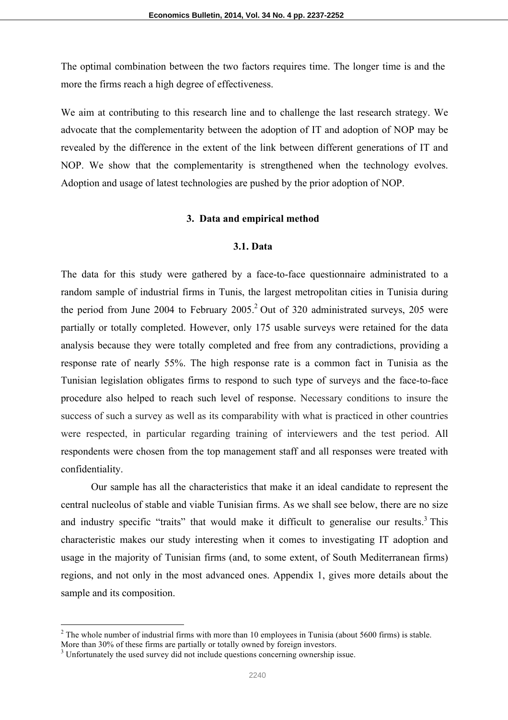The optimal combination between the two factors requires time. The longer time is and the more the firms reach a high degree of effectiveness.

We aim at contributing to this research line and to challenge the last research strategy. We advocate that the complementarity between the adoption of IT and adoption of NOP may be revealed by the difference in the extent of the link between different generations of IT and NOP. We show that the complementarity is strengthened when the technology evolves. Adoption and usage of latest technologies are pushed by the prior adoption of NOP.

#### **3. Data and empirical method**

#### **3.1. Data**

The data for this study were gathered by a face-to-face questionnaire administrated to a random sample of industrial firms in Tunis, the largest metropolitan cities in Tunisia during the period from June 2004 to February  $2005<sup>2</sup>$  Out of 320 administrated surveys, 205 were partially or totally completed. However, only 175 usable surveys were retained for the data analysis because they were totally completed and free from any contradictions, providing a response rate of nearly 55%. The high response rate is a common fact in Tunisia as the Tunisian legislation obligates firms to respond to such type of surveys and the face-to-face procedure also helped to reach such level of response. Necessary conditions to insure the success of such a survey as well as its comparability with what is practiced in other countries were respected, in particular regarding training of interviewers and the test period. All respondents were chosen from the top management staff and all responses were treated with confidentiality.

Our sample has all the characteristics that make it an ideal candidate to represent the central nucleolus of stable and viable Tunisian firms. As we shall see below, there are no size and industry specific "traits" that would make it difficult to generalise our results.<sup>3</sup> This characteristic makes our study interesting when it comes to investigating IT adoption and usage in the majority of Tunisian firms (and, to some extent, of South Mediterranean firms) regions, and not only in the most advanced ones. Appendix 1, gives more details about the sample and its composition.

 $2$  The whole number of industrial firms with more than 10 employees in Tunisia (about 5600 firms) is stable.

More than 30% of these firms are partially or totally owned by foreign investors.

<sup>&</sup>lt;sup>3</sup> Unfortunately the used survey did not include questions concerning ownership issue.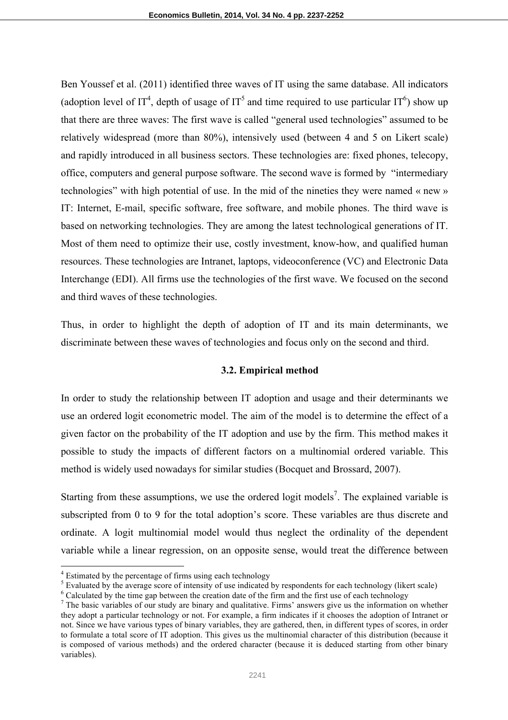Ben Youssef et al. (2011) identified three waves of IT using the same database. All indicators (adoption level of IT<sup>4</sup>, depth of usage of IT<sup>5</sup> and time required to use particular IT<sup>6</sup>) show up that there are three waves: The first wave is called "general used technologies" assumed to be relatively widespread (more than 80%), intensively used (between 4 and 5 on Likert scale) and rapidly introduced in all business sectors. These technologies are: fixed phones, telecopy, office, computers and general purpose software. The second wave is formed by "intermediary technologies" with high potential of use. In the mid of the nineties they were named « new » IT: Internet, E-mail, specific software, free software, and mobile phones. The third wave is based on networking technologies. They are among the latest technological generations of IT. Most of them need to optimize their use, costly investment, know-how, and qualified human resources. These technologies are Intranet, laptops, videoconference (VC) and Electronic Data Interchange (EDI). All firms use the technologies of the first wave. We focused on the second and third waves of these technologies.

Thus, in order to highlight the depth of adoption of IT and its main determinants, we discriminate between these waves of technologies and focus only on the second and third.

### **3.2. Empirical method**

In order to study the relationship between IT adoption and usage and their determinants we use an ordered logit econometric model. The aim of the model is to determine the effect of a given factor on the probability of the IT adoption and use by the firm. This method makes it possible to study the impacts of different factors on a multinomial ordered variable. This method is widely used nowadays for similar studies (Bocquet and Brossard, 2007).

Starting from these assumptions, we use the ordered logit models<sup>7</sup>. The explained variable is subscripted from 0 to 9 for the total adoption's score. These variables are thus discrete and ordinate. A logit multinomial model would thus neglect the ordinality of the dependent variable while a linear regression, on an opposite sense, would treat the difference between

<sup>&</sup>lt;sup>4</sup> Estimated by the percentage of firms using each technology

<sup>&</sup>lt;sup>5</sup> Evaluated by the average score of intensity of use indicated by respondents for each technology (likert scale) <sup>6</sup> Calculated by the time gap between the creation date of the firm and the first use of each technology

<sup>&</sup>lt;sup>7</sup> The basic variables of our study are binary and qualitative. Firms' answers give us the information on whether they adopt a particular technology or not. For example, a firm indicates if it chooses the adoption of Intranet or not. Since we have various types of binary variables, they are gathered, then, in different types of scores, in order to formulate a total score of IT adoption. This gives us the multinomial character of this distribution (because it is composed of various methods) and the ordered character (because it is deduced starting from other binary variables).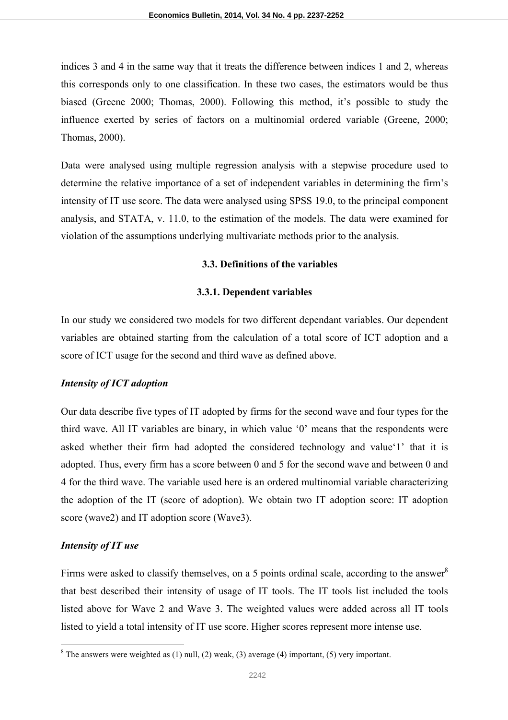indices 3 and 4 in the same way that it treats the difference between indices 1 and 2, whereas this corresponds only to one classification. In these two cases, the estimators would be thus biased (Greene 2000; Thomas, 2000). Following this method, it's possible to study the influence exerted by series of factors on a multinomial ordered variable (Greene, 2000; Thomas, 2000).

Data were analysed using multiple regression analysis with a stepwise procedure used to determine the relative importance of a set of independent variables in determining the firm's intensity of IT use score. The data were analysed using SPSS 19.0, to the principal component analysis, and STATA, v. 11.0, to the estimation of the models. The data were examined for violation of the assumptions underlying multivariate methods prior to the analysis.

### **3.3. Definitions of the variables**

### **3.3.1. Dependent variables**

In our study we considered two models for two different dependant variables. Our dependent variables are obtained starting from the calculation of a total score of ICT adoption and a score of ICT usage for the second and third wave as defined above.

### *Intensity of ICT adoption*

Our data describe five types of IT adopted by firms for the second wave and four types for the third wave. All IT variables are binary, in which value '0' means that the respondents were asked whether their firm had adopted the considered technology and value'1' that it is adopted. Thus, every firm has a score between 0 and 5 for the second wave and between 0 and 4 for the third wave. The variable used here is an ordered multinomial variable characterizing the adoption of the IT (score of adoption). We obtain two IT adoption score: IT adoption score (wave2) and IT adoption score (Wave3).

### *Intensity of IT use*

Firms were asked to classify themselves, on a 5 points ordinal scale, according to the answer<sup>8</sup> that best described their intensity of usage of IT tools. The IT tools list included the tools listed above for Wave 2 and Wave 3. The weighted values were added across all IT tools listed to yield a total intensity of IT use score. Higher scores represent more intense use.

 $8$  The answers were weighted as (1) null, (2) weak, (3) average (4) important, (5) very important.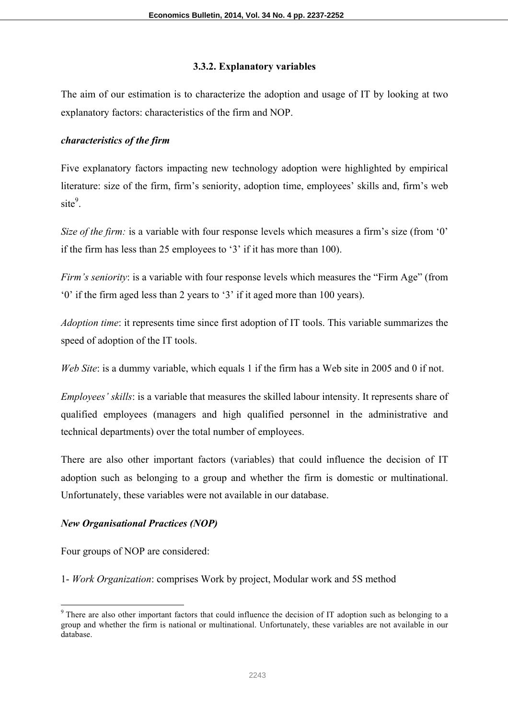### **3.3.2. Explanatory variables**

The aim of our estimation is to characterize the adoption and usage of IT by looking at two explanatory factors: characteristics of the firm and NOP.

### *characteristics of the firm*

Five explanatory factors impacting new technology adoption were highlighted by empirical literature: size of the firm, firm's seniority, adoption time, employees' skills and, firm's web site<sup>9</sup>.

*Size of the firm:* is a variable with four response levels which measures a firm's size (from '0') if the firm has less than 25 employees to '3' if it has more than 100).

*Firm's seniority*: is a variable with four response levels which measures the "Firm Age" (from '0' if the firm aged less than 2 years to '3' if it aged more than 100 years).

*Adoption time*: it represents time since first adoption of IT tools. This variable summarizes the speed of adoption of the IT tools.

*Web Site*: is a dummy variable, which equals 1 if the firm has a Web site in 2005 and 0 if not.

*Employees' skills*: is a variable that measures the skilled labour intensity. It represents share of qualified employees (managers and high qualified personnel in the administrative and technical departments) over the total number of employees.

There are also other important factors (variables) that could influence the decision of IT adoption such as belonging to a group and whether the firm is domestic or multinational. Unfortunately, these variables were not available in our database.

## *New Organisational Practices (NOP)*

Four groups of NOP are considered:

1- *Work Organization*: comprises Work by project, Modular work and 5S method

<sup>&</sup>lt;sup>9</sup> There are also other important factors that could influence the decision of IT adoption such as belonging to a group and whether the firm is national or multinational. Unfortunately, these variables are not available in our database.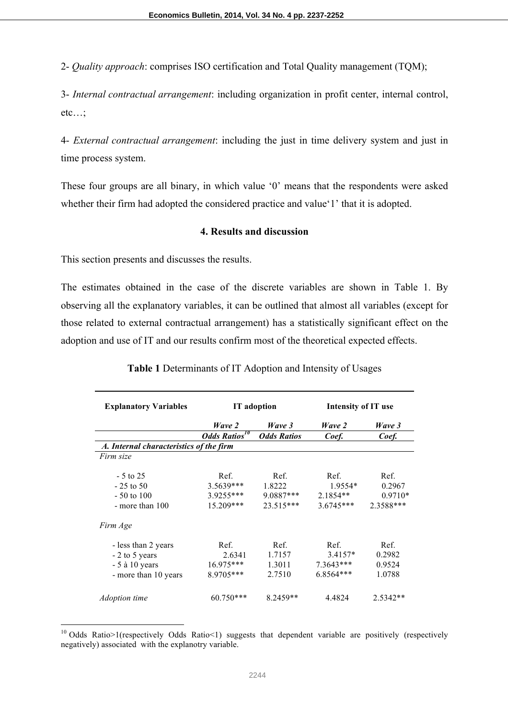2- *Quality approach*: comprises ISO certification and Total Quality management (TQM);

3- *Internal contractual arrangement*: including organization in profit center, internal control, etc…;

4- *External contractual arrangement*: including the just in time delivery system and just in time process system.

These four groups are all binary, in which value '0' means that the respondents were asked whether their firm had adopted the considered practice and value'1' that it is adopted.

### **4. Results and discussion**

This section presents and discusses the results.

The estimates obtained in the case of the discrete variables are shown in Table 1. By observing all the explanatory variables, it can be outlined that almost all variables (except for those related to external contractual arrangement) has a statistically significant effect on the adoption and use of IT and our results confirm most of the theoretical expected effects.

| <b>Explanatory Variables</b>            | <b>IT</b> adoption               |                    | <b>Intensity of IT use</b> |           |  |
|-----------------------------------------|----------------------------------|--------------------|----------------------------|-----------|--|
|                                         | Wave 2                           | Wave 3             | Wave 2                     | Wave 3    |  |
|                                         | <b>Odds Ratios</b> <sup>10</sup> | <b>Odds Ratios</b> | Coef.                      | Coef.     |  |
| A. Internal characteristics of the firm |                                  |                    |                            |           |  |
| Firm size                               |                                  |                    |                            |           |  |
| $-5$ to 25                              | Ref.                             | Ref.               | Ref.                       | Ref.      |  |
| $-25$ to 50                             | 3.5639***                        | 1.8222             | 1.9554*                    | 0.2967    |  |
| $-50$ to 100                            | 3.9255***                        | $9.0887***$        | $2.1854**$                 | $0.9710*$ |  |
| - more than 100                         | 15.209***                        | $23.515***$        | $3.6745***$                | 2.3588*** |  |
| Firm Age                                |                                  |                    |                            |           |  |
| - less than 2 years                     | Ref.                             | Ref.               | Ref.                       | Ref.      |  |
| - 2 to 5 years                          | 2.6341                           | 1.7157             | $3.4157*$                  | 0.2982    |  |
| $-5$ à 10 years                         | 16.975***                        | 1.3011             | 7.3643***                  | 0.9524    |  |
| - more than 10 years                    | 8.9705***                        | 2.7510             | 6.8564***                  | 1.0788    |  |
| <i>Adoption time</i>                    | 60.750***                        | $8.2459**$         | 4.4824                     | 2.5342**  |  |

**Table 1** Determinants of IT Adoption and Intensity of Usages

<sup>&</sup>lt;sup>10</sup> Odds Ratio>1(respectively Odds Ratio<1) suggests that dependent variable are positively (respectively negatively) associated with the explanotry variable.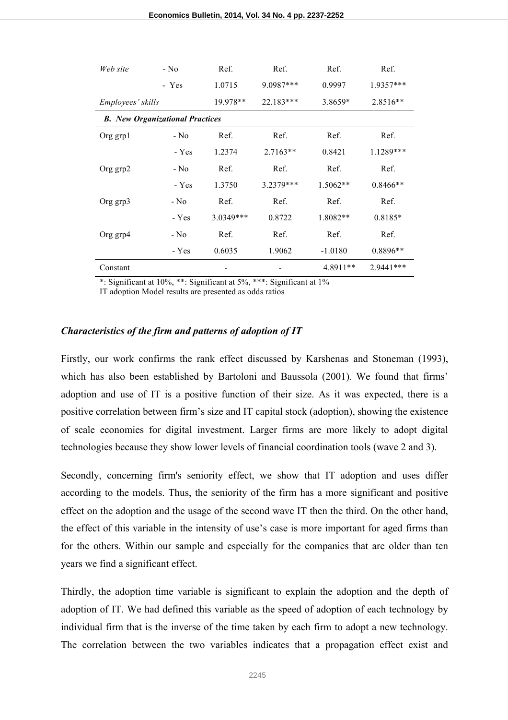| Web site                               | $-$ No  | Ref.        | Ref.       | Ref.       | Ref.       |
|----------------------------------------|---------|-------------|------------|------------|------------|
|                                        | - Yes   | 1.0715      | 9.0987***  | 0.9997     | 1.9357***  |
| Employees' skills                      |         | 19.978**    | 22.183***  | 3.8659*    | 2.8516**   |
| <b>B.</b> New Organizational Practices |         |             |            |            |            |
| Org grp1                               | - No    | Ref.        | Ref.       | Ref.       | Ref.       |
|                                        | - Yes   | 1.2374      | $2.7163**$ | 0.8421     | 1.1289***  |
| Org grp2                               | - No    | Ref.        | Ref.       | Ref.       | Ref.       |
|                                        | - Yes   | 1.3750      | 3.2379***  | $1.5062**$ | $0.8466**$ |
| Org grp3                               | - No    | Ref.        | Ref.       | Ref.       | Ref.       |
|                                        | $- Yes$ | $3.0349***$ | 0.8722     | 1.8082**   | 0.8185*    |
| Org grp4                               | - No    | Ref.        | Ref.       | Ref.       | Ref.       |
|                                        | - Yes   | 0.6035      | 1.9062     | $-1.0180$  | 0.8896**   |
| Constant                               |         |             |            | 4.8911**   | 2.9441 *** |

\*: Significant at 10%, \*\*: Significant at 5%, \*\*\*: Significant at 1%

IT adoption Model results are presented as odds ratios

#### *Characteristics of the firm and patterns of adoption of IT*

Firstly, our work confirms the rank effect discussed by Karshenas and Stoneman (1993), which has also been established by Bartoloni and Baussola (2001). We found that firms' adoption and use of IT is a positive function of their size. As it was expected, there is a positive correlation between firm's size and IT capital stock (adoption), showing the existence of scale economies for digital investment. Larger firms are more likely to adopt digital technologies because they show lower levels of financial coordination tools (wave 2 and 3).

Secondly, concerning firm's seniority effect, we show that IT adoption and uses differ according to the models. Thus, the seniority of the firm has a more significant and positive effect on the adoption and the usage of the second wave IT then the third. On the other hand, the effect of this variable in the intensity of use's case is more important for aged firms than for the others. Within our sample and especially for the companies that are older than ten years we find a significant effect.

Thirdly, the adoption time variable is significant to explain the adoption and the depth of adoption of IT. We had defined this variable as the speed of adoption of each technology by individual firm that is the inverse of the time taken by each firm to adopt a new technology. The correlation between the two variables indicates that a propagation effect exist and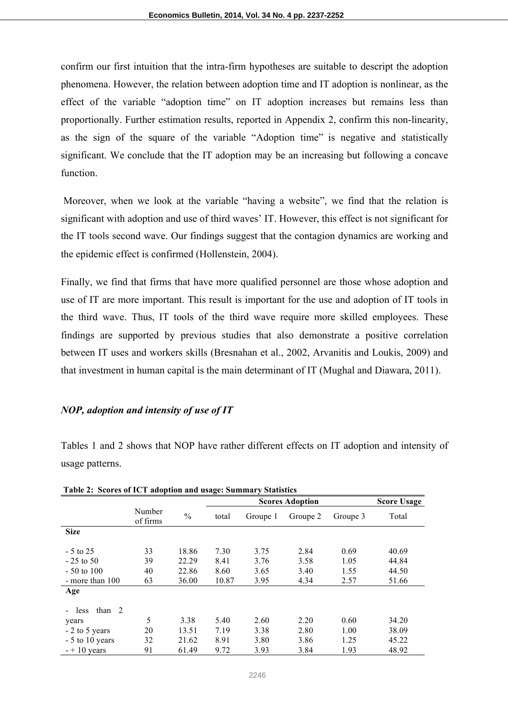confirm our first intuition that the intra-firm hypotheses are suitable to descript the adoption phenomena. However, the relation between adoption time and IT adoption is nonlinear, as the effect of the variable "adoption time" on IT adoption increases but remains less than proportionally. Further estimation results, reported in Appendix 2, confirm this non-linearity, as the sign of the square of the variable "Adoption time" is negative and statistically significant. We conclude that the IT adoption may be an increasing but following a concave function.

Moreover, when we look at the variable "having a website", we find that the relation is significant with adoption and use of third waves' IT. However, this effect is not significant for the IT tools second wave. Our findings suggest that the contagion dynamics are working and the epidemic effect is confirmed (Hollenstein, 2004).

Finally, we find that firms that have more qualified personnel are those whose adoption and use of IT are more important. This result is important for the use and adoption of IT tools in the third wave. Thus, IT tools of the third wave require more skilled employees. These findings are supported by previous studies that also demonstrate a positive correlation between IT uses and workers skills (Bresnahan et al., 2002, Arvanitis and Loukis, 2009) and that investment in human capital is the main determinant of IT (Mughal and Diawara, 2011).

### *NOP, adoption and intensity of use of IT*

Tables 1 and 2 shows that NOP have rather different effects on IT adoption and intensity of usage patterns.

|                  |                    |               | <br><b>Scores Adoption</b> |          |          |          | <b>Score Usage</b> |
|------------------|--------------------|---------------|----------------------------|----------|----------|----------|--------------------|
|                  | Number<br>of firms | $\frac{0}{0}$ | total                      | Groupe 1 | Groupe 2 | Groupe 3 | Total              |
| <b>Size</b>      |                    |               |                            |          |          |          |                    |
|                  |                    |               |                            |          |          |          |                    |
| $-5$ to 25       | 33                 | 18.86         | 7.30                       | 3.75     | 2.84     | 0.69     | 40.69              |
| $-25$ to 50      | 39                 | 22.29         | 8.41                       | 3.76     | 3.58     | 1.05     | 44.84              |
| $-50$ to 100     | 40                 | 22.86         | 8.60                       | 3.65     | 3.40     | 1.55     | 44.50              |
| - more than 100  | 63                 | 36.00         | 10.87                      | 3.95     | 4.34     | 2.57     | 51.66              |
| Age              |                    |               |                            |          |          |          |                    |
|                  |                    |               |                            |          |          |          |                    |
| than $2$<br>less |                    |               |                            |          |          |          |                    |
| years            | 5                  | 3.38          | 5.40                       | 2.60     | 2.20     | 0.60     | 34.20              |
| $-2$ to 5 years  | 20                 | 13.51         | 7.19                       | 3.38     | 2.80     | 1.00     | 38.09              |
| $-5$ to 10 years | 32                 | 21.62         | 8.91                       | 3.80     | 3.86     | 1.25     | 45.22              |
| $- + 10$ years   | 91                 | 61.49         | 9.72                       | 3.93     | 3.84     | 1.93     | 48.92              |

**Table 2: Scores of ICT adoption and usage: Summary Statistics**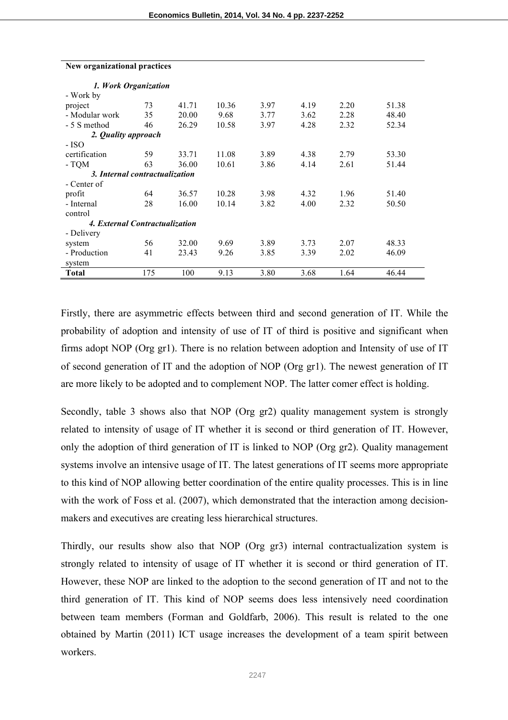| 1. Work Organization           |     |       |       |      |      |      |       |
|--------------------------------|-----|-------|-------|------|------|------|-------|
| - Work by                      |     |       |       |      |      |      |       |
| project                        | 73  | 41.71 | 10.36 | 3.97 | 4.19 | 2.20 | 51.38 |
| - Modular work                 | 35  | 20.00 | 9.68  | 3.77 | 3.62 | 2.28 | 48.40 |
| - 5 S method                   | 46  | 26.29 | 10.58 | 3.97 | 4.28 | 2.32 | 52.34 |
| 2. <i>Quality approach</i>     |     |       |       |      |      |      |       |
| - ISO                          |     |       |       |      |      |      |       |
| certification                  | 59  | 33.71 | 11.08 | 3.89 | 4.38 | 2.79 | 53.30 |
| - TQM                          | 63  | 36.00 | 10.61 | 3.86 | 4.14 | 2.61 | 51.44 |
| 3. Internal contractualization |     |       |       |      |      |      |       |
| - Center of                    |     |       |       |      |      |      |       |
| profit                         | 64  | 36.57 | 10.28 | 3.98 | 4.32 | 1.96 | 51.40 |
| - Internal                     | 28  | 16.00 | 10.14 | 3.82 | 4.00 | 2.32 | 50.50 |
| control                        |     |       |       |      |      |      |       |
| 4. External Contractualization |     |       |       |      |      |      |       |
| - Delivery                     |     |       |       |      |      |      |       |
| system                         | 56  | 32.00 | 9.69  | 3.89 | 3.73 | 2.07 | 48.33 |
| - Production                   | 41  | 23.43 | 9.26  | 3.85 | 3.39 | 2.02 | 46.09 |
| system                         |     |       |       |      |      |      |       |
| <b>Total</b>                   | 175 | 100   | 9.13  | 3.80 | 3.68 | 1.64 | 46.44 |

# **New organizational practices**

Firstly, there are asymmetric effects between third and second generation of IT. While the probability of adoption and intensity of use of IT of third is positive and significant when firms adopt NOP (Org gr1). There is no relation between adoption and Intensity of use of IT of second generation of IT and the adoption of NOP (Org gr1). The newest generation of IT are more likely to be adopted and to complement NOP. The latter comer effect is holding.

Secondly, table 3 shows also that NOP (Org gr2) quality management system is strongly related to intensity of usage of IT whether it is second or third generation of IT. However, only the adoption of third generation of IT is linked to NOP (Org gr2). Quality management systems involve an intensive usage of IT. The latest generations of IT seems more appropriate to this kind of NOP allowing better coordination of the entire quality processes. This is in line with the work of Foss et al. (2007), which demonstrated that the interaction among decisionmakers and executives are creating less hierarchical structures.

Thirdly, our results show also that NOP (Org gr3) internal contractualization system is strongly related to intensity of usage of IT whether it is second or third generation of IT. However, these NOP are linked to the adoption to the second generation of IT and not to the third generation of IT. This kind of NOP seems does less intensively need coordination between team members (Forman and Goldfarb, 2006). This result is related to the one obtained by Martin (2011) ICT usage increases the development of a team spirit between workers.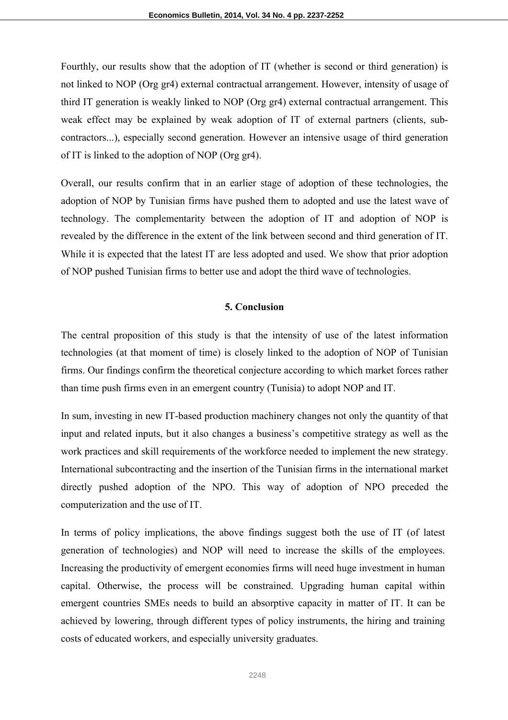Fourthly, our results show that the adoption of IT (whether is second or third generation) is not linked to NOP (Org gr4) external contractual arrangement. However, intensity of usage of third IT generation is weakly linked to NOP (Org gr4) external contractual arrangement. This weak effect may be explained by weak adoption of IT of external partners (clients, subcontractors...), especially second generation. However an intensive usage of third generation of IT is linked to the adoption of NOP (Org gr4).

Overall, our results confirm that in an earlier stage of adoption of these technologies, the adoption of NOP by Tunisian firms have pushed them to adopted and use the latest wave of technology. The complementarity between the adoption of IT and adoption of NOP is revealed by the difference in the extent of the link between second and third generation of IT. While it is expected that the latest IT are less adopted and used. We show that prior adoption of NOP pushed Tunisian firms to better use and adopt the third wave of technologies.

### **5. Conclusion**

The central proposition of this study is that the intensity of use of the latest information technologies (at that moment of time) is closely linked to the adoption of NOP of Tunisian firms. Our findings confirm the theoretical conjecture according to which market forces rather than time push firms even in an emergent country (Tunisia) to adopt NOP and IT.

In sum, investing in new IT-based production machinery changes not only the quantity of that input and related inputs, but it also changes a business's competitive strategy as well as the work practices and skill requirements of the workforce needed to implement the new strategy. International subcontracting and the insertion of the Tunisian firms in the international market directly pushed adoption of the NPO. This way of adoption of NPO preceded the computerization and the use of IT.

In terms of policy implications, the above findings suggest both the use of IT (of latest generation of technologies) and NOP will need to increase the skills of the employees. Increasing the productivity of emergent economies firms will need huge investment in human capital. Otherwise, the process will be constrained. Upgrading human capital within emergent countries SMEs needs to build an absorptive capacity in matter of IT. It can be achieved by lowering, through different types of policy instruments, the hiring and training costs of educated workers, and especially university graduates.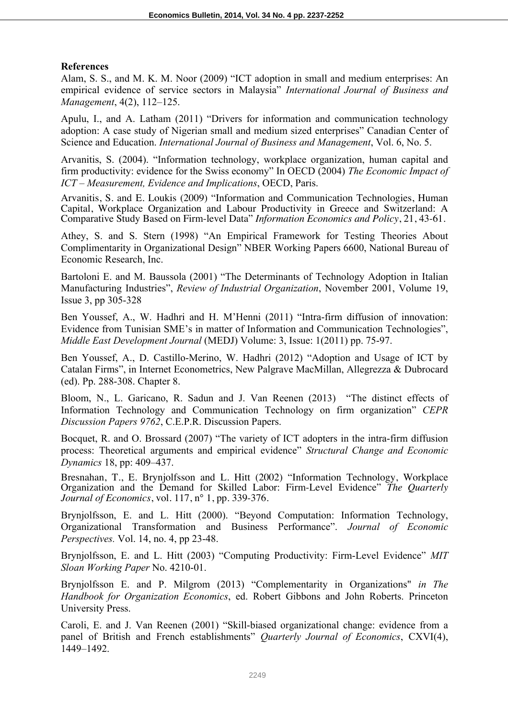### **References**

Alam, S. S., and M. K. M. Noor (2009) "ICT adoption in small and medium enterprises: An empirical evidence of service sectors in Malaysia" *International Journal of Business and Management*, 4(2), 112–125.

Apulu, I., and A. Latham (2011) "Drivers for information and communication technology adoption: A case study of Nigerian small and medium sized enterprises" Canadian Center of Science and Education. *International Journal of Business and Management*, Vol. 6, No. 5.

Arvanitis, S. (2004). "Information technology, workplace organization, human capital and firm productivity: evidence for the Swiss economy" In OECD (2004) *The Economic Impact of ICT – Measurement, Evidence and Implications*, OECD, Paris.

Arvanitis, S. and E. Loukis (2009) "Information and Communication Technologies, Human Capital, Workplace Organization and Labour Productivity in Greece and Switzerland: A Comparative Study Based on Firm-level Data" *Information Economics and Policy*, 21, 43-61.

Athey, S. and S. Stern (1998) "An Empirical Framework for Testing Theories About Complimentarity in Organizational Design" NBER Working Papers 6600, National Bureau of Economic Research, Inc.

Bartoloni E. and M. Baussola (2001) "The Determinants of Technology Adoption in Italian Manufacturing Industries", *Review of Industrial Organization*, November 2001, Volume 19, Issue 3, pp 305-328

Ben Youssef, A., W. Hadhri and H. M'Henni (2011) "Intra-firm diffusion of innovation: Evidence from Tunisian SME's in matter of Information and Communication Technologies", *Middle East Development Journal* (MEDJ) Volume: 3, Issue: 1(2011) pp. 75-97.

Ben Youssef, A., D. Castillo-Merino, W. Hadhri (2012) "Adoption and Usage of ICT by Catalan Firms", in Internet Econometrics, New Palgrave MacMillan, Allegrezza & Dubrocard (ed). Pp. 288-308. Chapter 8.

Bloom, N., L. Garicano, R. Sadun and J. Van Reenen (2013) "The distinct effects of Information Technology and Communication Technology on firm organization" *CEPR Discussion Papers 9762*, C.E.P.R. Discussion Papers.

Bocquet, R. and O. Brossard (2007) "The variety of ICT adopters in the intra-firm diffusion process: Theoretical arguments and empirical evidence" *Structural Change and Economic Dynamics* 18, pp: 409–437.

Bresnahan, T., E. Brynjolfsson and L. Hitt (2002) "Information Technology, Workplace Organization and the Demand for Skilled Labor: Firm-Level Evidence" *The Quarterly Journal of Economics*, vol. 117, n° 1, pp. 339-376.

Brynjolfsson, E. and L. Hitt (2000). "Beyond Computation: Information Technology, Organizational Transformation and Business Performance". *Journal of Economic Perspectives.* Vol. 14, no. 4, pp 23-48.

Brynjolfsson, E. and L. Hitt (2003) "Computing Productivity: Firm-Level Evidence" *MIT Sloan Working Paper* No. 4210-01.

Brynjolfsson E. and P. Milgrom (2013) "Complementarity in Organizations" *in The Handbook for Organization Economics*, ed. Robert Gibbons and John Roberts. Princeton University Press.

Caroli, E. and J. Van Reenen (2001) "Skill-biased organizational change: evidence from a panel of British and French establishments" *Quarterly Journal of Economics*, CXVI(4), 1449–1492.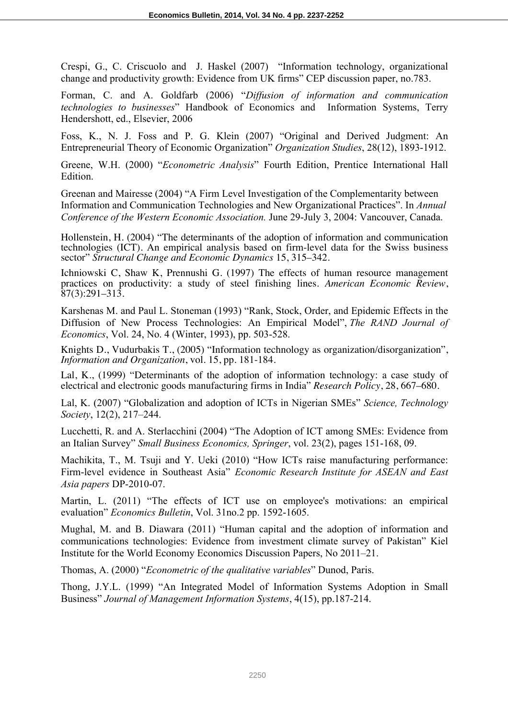Crespi, G., C. Criscuolo and J. Haskel (2007) "Information technology, organizational change and productivity growth: Evidence from UK firms" CEP discussion paper, no.783.

Forman, C. and A. Goldfarb (2006) "*Diffusion of information and communication technologies to businesses*" Handbook of Economics and Information Systems, Terry Hendershott, ed., Elsevier, 2006

Foss, K., N. J. Foss and P. G. Klein (2007) "Original and Derived Judgment: An Entrepreneurial Theory of Economic Organization" *Organization Studies*, 28(12), 1893-1912.

Greene, W.H. (2000) "*Econometric Analysis*" Fourth Edition, Prentice International Hall **Edition** 

Greenan and Mairesse (2004) "A Firm Level Investigation of the Complementarity between Information and Communication Technologies and New Organizational Practices". In *Annual Conference of the Western Economic Association.* June 29-July 3, 2004: Vancouver, Canada.

Hollenstein, H. (2004) "The determinants of the adoption of information and communication technologies (ICT). An empirical analysis based on firm-level data for the Swiss business sector" *Structural Change and Economic Dynamics* 15, 315–342.

Ichniowski C, Shaw K, Prennushi G. (1997) The effects of human resource management practices on productivity: a study of steel finishing lines. *American Economic Review*,  $\overline{87}(3):291-313$ .

Karshenas M. and Paul L. Stoneman (1993) "Rank, Stock, Order, and Epidemic Effects in the Diffusion of New Process Technologies: An Empirical Model", *The RAND Journal of Economics*, Vol. 24, No. 4 (Winter, 1993), pp. 503-528.

Knights D., Vudurbakis T., (2005) "Information technology as organization/disorganization", *Information and Organization*, vol. 15, pp. 181-184.

Lal, K., (1999) "Determinants of the adoption of information technology: a case study of electrical and electronic goods manufacturing firms in India" *Research Policy*, 28, 667–680.

Lal, K. (2007) "Globalization and adoption of ICTs in Nigerian SMEs" *Science, Technology Society*, 12(2), 217–244.

Lucchetti, R. and A. Sterlacchini (2004) "The Adoption of ICT among SMEs: Evidence from an Italian Survey" *Small Business Economics, Springer*, vol. 23(2), pages 151-168, 09.

Machikita, T., M. Tsuji and Y. Ueki (2010) "How ICTs raise manufacturing performance: Firm-level evidence in Southeast Asia" *Economic Research Institute for ASEAN and East Asia papers* DP-2010-07.

Martin, L. (2011) "The effects of ICT use on employee's motivations: an empirical evaluation" *Economics Bulletin*, Vol. 31no.2 pp. 1592-1605.

Mughal, M. and B. Diawara (2011) "Human capital and the adoption of information and communications technologies: Evidence from investment climate survey of Pakistan" Kiel Institute for the World Economy Economics Discussion Papers, No 2011–21.

Thomas, A. (2000) "*Econometric of the qualitative variables*" Dunod, Paris.

Thong, J.Y.L. (1999) "An Integrated Model of Information Systems Adoption in Small Business" *Journal of Management Information Systems*, 4(15), pp.187-214.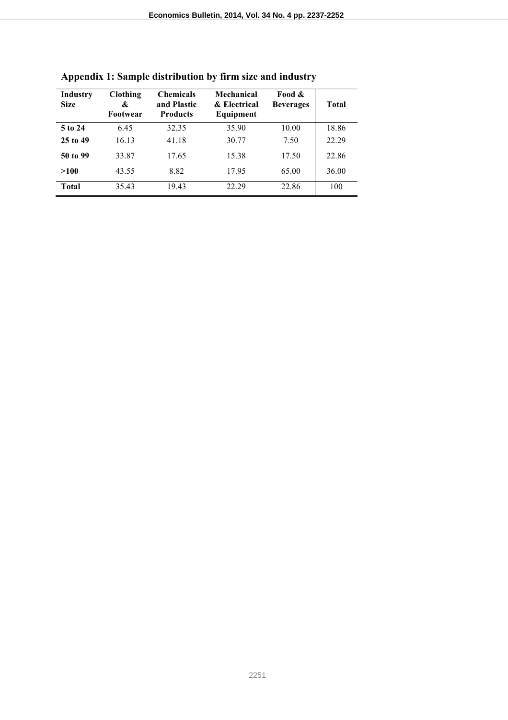| Industry<br><b>Size</b> | <b>Clothing</b><br>&<br>Footwear | <b>Chemicals</b><br>and Plastic<br><b>Products</b> | Mechanical<br>& Electrical<br>Equipment | Food &<br><b>Beverages</b> | Total |
|-------------------------|----------------------------------|----------------------------------------------------|-----------------------------------------|----------------------------|-------|
| 5 to 24                 | 6.45                             | 32.35                                              | 35.90                                   | 10.00                      | 18.86 |
| 25 to 49                | 16.13                            | 41.18                                              | 30.77                                   | 7.50                       | 22.29 |
| 50 to 99                | 33.87                            | 17.65                                              | 15.38                                   | 17.50                      | 22.86 |
| >100                    | 43.55                            | 8.82                                               | 17.95                                   | 65.00                      | 36.00 |
| Total                   | 35.43                            | 19.43                                              | 22.29                                   | 22.86                      | 100   |

**Appendix 1: Sample distribution by firm size and industry**